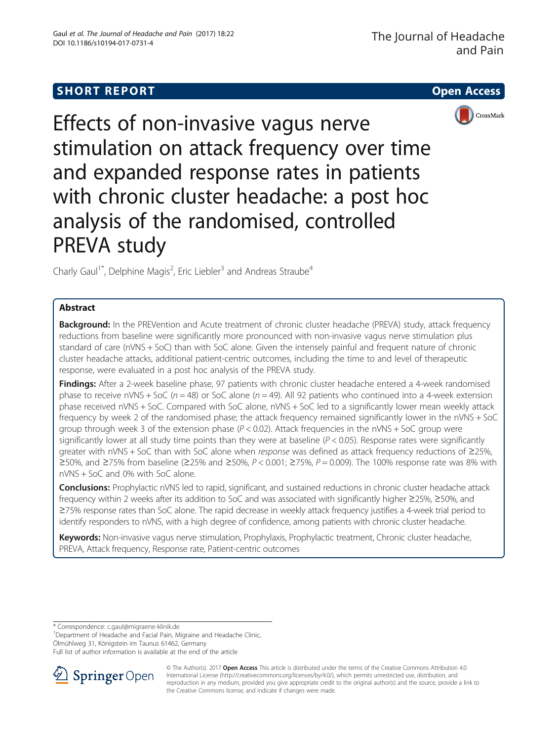# **SHORT REPORT CONTRACT CONTRACT CONTRACT CONTRACT CONTRACT CONTRACT CONTRACT CONTRACT CONTRACT CONTRACT CONTRACT**



Effects of non-invasive vagus nerve stimulation on attack frequency over time and expanded response rates in patients with chronic cluster headache: a post hoc analysis of the randomised, controlled PREVA study

Charly Gaul<sup>1\*</sup>, Delphine Magis<sup>2</sup>, Eric Liebler<sup>3</sup> and Andreas Straube<sup>4</sup>

## Abstract

Background: In the PREVention and Acute treatment of chronic cluster headache (PREVA) study, attack frequency reductions from baseline were significantly more pronounced with non-invasive vagus nerve stimulation plus standard of care (nVNS + SoC) than with SoC alone. Given the intensely painful and frequent nature of chronic cluster headache attacks, additional patient-centric outcomes, including the time to and level of therapeutic response, were evaluated in a post hoc analysis of the PREVA study.

Findings: After a 2-week baseline phase, 97 patients with chronic cluster headache entered a 4-week randomised phase to receive nVNS + SoC ( $n = 48$ ) or SoC alone ( $n = 49$ ). All 92 patients who continued into a 4-week extension phase received nVNS + SoC. Compared with SoC alone, nVNS + SoC led to a significantly lower mean weekly attack frequency by week 2 of the randomised phase; the attack frequency remained significantly lower in the nVNS + SoC group through week 3 of the extension phase  $(P < 0.02)$ . Attack frequencies in the nVNS + SoC group were significantly lower at all study time points than they were at baseline ( $P < 0.05$ ). Response rates were significantly greater with nVNS + SoC than with SoC alone when response was defined as attack frequency reductions of ≥25%, ≥50%, and ≥75% from baseline (≥25% and ≥50%,  $P < 0.001$ ; ≥75%,  $P = 0.009$ ). The 100% response rate was 8% with nVNS + SoC and 0% with SoC alone.

**Conclusions:** Prophylactic nVNS led to rapid, significant, and sustained reductions in chronic cluster headache attack frequency within 2 weeks after its addition to SoC and was associated with significantly higher ≥25%, ≥50%, and ≥75% response rates than SoC alone. The rapid decrease in weekly attack frequency justifies a 4-week trial period to identify responders to nVNS, with a high degree of confidence, among patients with chronic cluster headache.

Keywords: Non-invasive vagus nerve stimulation, Prophylaxis, Prophylactic treatment, Chronic cluster headache, PREVA, Attack frequency, Response rate, Patient-centric outcomes

\* Correspondence: [c.gaul@migraene-klinik.de](mailto:c.gaul@migraene-klinik.de) <sup>1</sup>

<sup>1</sup>Department of Headache and Facial Pain, Migraine and Headache Clinic,

Ölmühlweg 31, Königstein im Taunus 61462, Germany

Full list of author information is available at the end of the article



© The Author(s). 2017 **Open Access** This article is distributed under the terms of the Creative Commons Attribution 4.0 International License ([http://creativecommons.org/licenses/by/4.0/\)](http://creativecommons.org/licenses/by/4.0/), which permits unrestricted use, distribution, and reproduction in any medium, provided you give appropriate credit to the original author(s) and the source, provide a link to the Creative Commons license, and indicate if changes were made.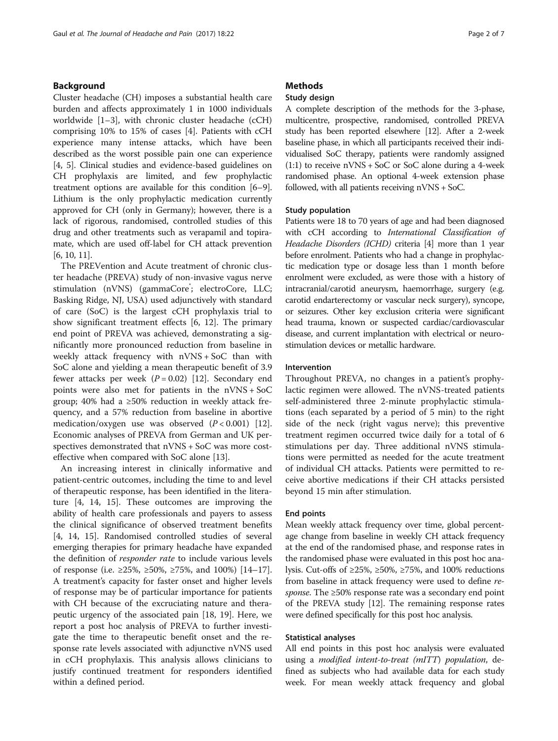## Background

Cluster headache (CH) imposes a substantial health care burden and affects approximately 1 in 1000 individuals worldwide [\[1](#page-5-0)–[3\]](#page-5-0), with chronic cluster headache (cCH) comprising 10% to 15% of cases [[4\]](#page-5-0). Patients with cCH experience many intense attacks, which have been described as the worst possible pain one can experience [[4, 5\]](#page-5-0). Clinical studies and evidence-based guidelines on CH prophylaxis are limited, and few prophylactic treatment options are available for this condition [[6](#page-5-0)–[9](#page-5-0)]. Lithium is the only prophylactic medication currently approved for CH (only in Germany); however, there is a lack of rigorous, randomised, controlled studies of this drug and other treatments such as verapamil and topiramate, which are used off-label for CH attack prevention [[6, 10, 11](#page-5-0)].

The PREVention and Acute treatment of chronic cluster headache (PREVA) study of non-invasive vagus nerve stimulation (nVNS) (gammaCore<sup>\*</sup>; electroCore, LLC; Basking Ridge, NJ, USA) used adjunctively with standard of care (SoC) is the largest cCH prophylaxis trial to show significant treatment effects [[6, 12](#page-5-0)]. The primary end point of PREVA was achieved, demonstrating a significantly more pronounced reduction from baseline in weekly attack frequency with nVNS + SoC than with SoC alone and yielding a mean therapeutic benefit of 3.9 fewer attacks per week  $(P = 0.02)$  [\[12\]](#page-5-0). Secondary end points were also met for patients in the nVNS + SoC group; 40% had a  $\geq 50\%$  reduction in weekly attack frequency, and a 57% reduction from baseline in abortive medication/oxygen use was observed  $(P < 0.001)$  [\[12](#page-5-0)]. Economic analyses of PREVA from German and UK perspectives demonstrated that nVNS + SoC was more costeffective when compared with SoC alone [\[13](#page-5-0)].

An increasing interest in clinically informative and patient-centric outcomes, including the time to and level of therapeutic response, has been identified in the literature [[4](#page-5-0), [14, 15\]](#page-6-0). These outcomes are improving the ability of health care professionals and payers to assess the clinical significance of observed treatment benefits [[4,](#page-5-0) [14, 15](#page-6-0)]. Randomised controlled studies of several emerging therapies for primary headache have expanded the definition of responder rate to include various levels of response (i.e. ≥25%, ≥50%, ≥75%, and 100%) [[14](#page-6-0)–[17](#page-6-0)]. A treatment's capacity for faster onset and higher levels of response may be of particular importance for patients with CH because of the excruciating nature and therapeutic urgency of the associated pain [[18, 19](#page-6-0)]. Here, we report a post hoc analysis of PREVA to further investigate the time to therapeutic benefit onset and the response rate levels associated with adjunctive nVNS used in cCH prophylaxis. This analysis allows clinicians to justify continued treatment for responders identified within a defined period.

## **Methods**

## Study design

A complete description of the methods for the 3-phase, multicentre, prospective, randomised, controlled PREVA study has been reported elsewhere [[12](#page-5-0)]. After a 2-week baseline phase, in which all participants received their individualised SoC therapy, patients were randomly assigned  $(1:1)$  to receive nVNS + SoC or SoC alone during a 4-week randomised phase. An optional 4-week extension phase followed, with all patients receiving nVNS + SoC.

## Study population

Patients were 18 to 70 years of age and had been diagnosed with cCH according to International Classification of Headache Disorders (ICHD) criteria [[4](#page-5-0)] more than 1 year before enrolment. Patients who had a change in prophylactic medication type or dosage less than 1 month before enrolment were excluded, as were those with a history of intracranial/carotid aneurysm, haemorrhage, surgery (e.g. carotid endarterectomy or vascular neck surgery), syncope, or seizures. Other key exclusion criteria were significant head trauma, known or suspected cardiac/cardiovascular disease, and current implantation with electrical or neurostimulation devices or metallic hardware.

## Intervention

Throughout PREVA, no changes in a patient's prophylactic regimen were allowed. The nVNS-treated patients self-administered three 2-minute prophylactic stimulations (each separated by a period of 5 min) to the right side of the neck (right vagus nerve); this preventive treatment regimen occurred twice daily for a total of 6 stimulations per day. Three additional nVNS stimulations were permitted as needed for the acute treatment of individual CH attacks. Patients were permitted to receive abortive medications if their CH attacks persisted beyond 15 min after stimulation.

## End points

Mean weekly attack frequency over time, global percentage change from baseline in weekly CH attack frequency at the end of the randomised phase, and response rates in the randomised phase were evaluated in this post hoc analysis. Cut-offs of ≥25%, ≥50%, ≥75%, and 100% reductions from baseline in attack frequency were used to define response. The ≥50% response rate was a secondary end point of the PREVA study [\[12\]](#page-5-0). The remaining response rates were defined specifically for this post hoc analysis.

#### Statistical analyses

All end points in this post hoc analysis were evaluated using a modified intent-to-treat (mITT) population, defined as subjects who had available data for each study week. For mean weekly attack frequency and global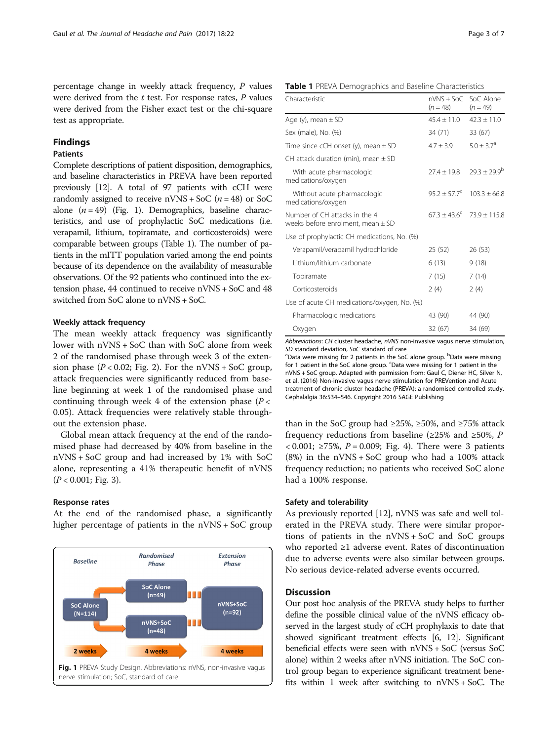percentage change in weekly attack frequency, P values were derived from the  $t$  test. For response rates,  $P$  values were derived from the Fisher exact test or the chi-square test as appropriate.

## Findings

## Patients

Complete descriptions of patient disposition, demographics, and baseline characteristics in PREVA have been reported previously [\[12](#page-5-0)]. A total of 97 patients with cCH were randomly assigned to receive  $nVNS + Soc$  ( $n = 48$ ) or SoC alone  $(n = 49)$  (Fig. 1). Demographics, baseline characteristics, and use of prophylactic SoC medications (i.e. verapamil, lithium, topiramate, and corticosteroids) were comparable between groups (Table 1). The number of patients in the mITT population varied among the end points because of its dependence on the availability of measurable observations. Of the 92 patients who continued into the extension phase, 44 continued to receive nVNS + SoC and 48 switched from SoC alone to nVNS + SoC.

## Weekly attack frequency

The mean weekly attack frequency was significantly lower with nVNS + SoC than with SoC alone from week 2 of the randomised phase through week 3 of the extension phase  $(P < 0.02$ ; Fig. [2](#page-3-0)). For the nVNS + SoC group, attack frequencies were significantly reduced from baseline beginning at week 1 of the randomised phase and continuing through week 4 of the extension phase  $(P <$ 0.05). Attack frequencies were relatively stable throughout the extension phase.

Global mean attack frequency at the end of the randomised phase had decreased by 40% from baseline in the nVNS + SoC group and had increased by 1% with SoC alone, representing a 41% therapeutic benefit of nVNS  $(P < 0.001;$  Fig. [3\)](#page-3-0).

## Response rates

At the end of the randomised phase, a significantly higher percentage of patients in the nVNS + SoC group



Table 1 PREVA Demographics and Baseline Characteristics

| Characteristic                                                         | nVNS + SoC SoC Alone<br>$(n = 48)$ | $(n = 49)$                         |
|------------------------------------------------------------------------|------------------------------------|------------------------------------|
| Age $(y)$ , mean $\pm$ SD                                              | $45.4 + 11.0$                      | $42.3 \pm 11.0$                    |
| Sex (male), No. (%)                                                    | 34 (71)                            | 33 (67)                            |
| Time since cCH onset $(y)$ , mean $\pm$ SD                             | $4.7 \pm 3.9$                      | $5.0 + 3.7a$                       |
| CH attack duration (min), mean $\pm$ SD                                |                                    |                                    |
| With acute pharmacologic<br>medications/oxygen                         | $77.4 + 19.8$                      | $79.3 + 79.9^b$                    |
| Without acute pharmacologic<br>medications/oxygen                      | $95.2 \pm 57.7^{\circ}$            | $103.3 + 66.8$                     |
| Number of CH attacks in the 4<br>weeks before enrolment, mean $\pm$ SD |                                    | $67.3 + 43.6^{\circ}$ 73.9 ± 115.8 |
| Use of prophylactic CH medications, No. (%)                            |                                    |                                    |
| Verapamil/verapamil hydrochloride                                      | 25 (52)                            | 26 (53)                            |
| Lithium/lithium carbonate                                              | 6(13)                              | 9(18)                              |
| Topiramate                                                             | 7(15)                              | 7(14)                              |
| Corticosteroids                                                        | 2(4)                               | 2(4)                               |
| Use of acute CH medications/oxygen, No. (%)                            |                                    |                                    |
| Pharmacologic medications                                              | 43 (90)                            | 44 (90)                            |
| Oxygen                                                                 | 32 (67)                            | 34 (69)                            |
|                                                                        |                                    |                                    |

Abbreviations: CH cluster headache, nVNS non-invasive vagus nerve stimulation, SD standard deviation, SoC standard of care

'Data were missing for 2 patients in the SoC alone group. <sup>b</sup>Data were missing for 1 patient in the SoC alone group. 'Data were missing for 1 patient in the nVNS + SoC group. Adapted with permission from: Gaul C, Diener HC, Silver N, et al. (2016) Non-invasive vagus nerve stimulation for PREVention and Acute treatment of chronic cluster headache (PREVA): a randomised controlled study. Cephalalgia 36:534–546. Copyright 2016 SAGE Publishing

than in the SoC group had ≥25%, ≥50%, and ≥75% attack frequency reductions from baseline ( $\geq$ 25% and  $\geq$ 50%, P < 0.001; ≥75%, P = 0.009; Fig. [4\)](#page-4-0). There were 3 patients  $(8%)$  in the nVNS + SoC group who had a 100% attack frequency reduction; no patients who received SoC alone had a 100% response.

#### Safety and tolerability

As previously reported [\[12](#page-5-0)], nVNS was safe and well tolerated in the PREVA study. There were similar proportions of patients in the nVNS + SoC and SoC groups who reported ≥1 adverse event. Rates of discontinuation due to adverse events were also similar between groups. No serious device-related adverse events occurred.

## **Discussion**

Our post hoc analysis of the PREVA study helps to further define the possible clinical value of the nVNS efficacy observed in the largest study of cCH prophylaxis to date that showed significant treatment effects [\[6, 12](#page-5-0)]. Significant beneficial effects were seen with nVNS + SoC (versus SoC alone) within 2 weeks after nVNS initiation. The SoC control group began to experience significant treatment benefits within 1 week after switching to  $nV$ NS + SoC. The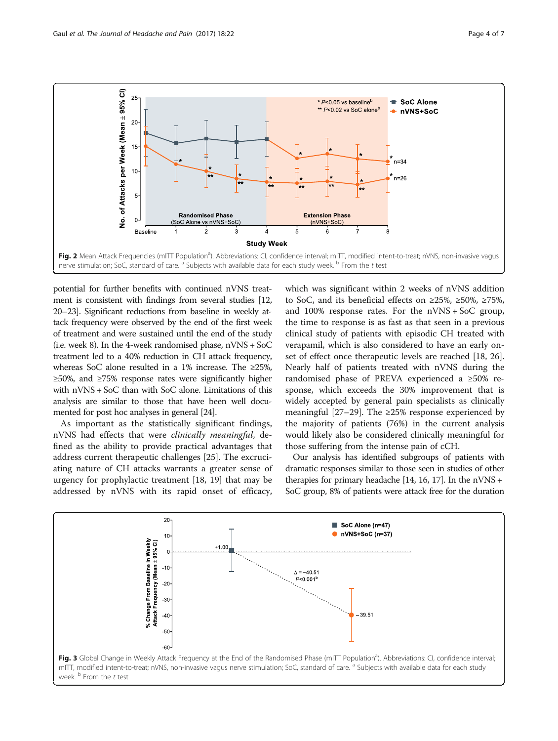<span id="page-3-0"></span>

potential for further benefits with continued nVNS treatment is consistent with findings from several studies [[12](#page-5-0), [20](#page-6-0)–[23](#page-6-0)]. Significant reductions from baseline in weekly attack frequency were observed by the end of the first week of treatment and were sustained until the end of the study (i.e. week 8). In the 4-week randomised phase,  $nVNS + Soc$ treatment led to a 40% reduction in CH attack frequency, whereas SoC alone resulted in a 1% increase. The ≥25%, ≥50%, and ≥75% response rates were significantly higher with nVNS + SoC than with SoC alone. Limitations of this analysis are similar to those that have been well documented for post hoc analyses in general [\[24\]](#page-6-0).

As important as the statistically significant findings, nVNS had effects that were clinically meaningful, defined as the ability to provide practical advantages that address current therapeutic challenges [\[25](#page-6-0)]. The excruciating nature of CH attacks warrants a greater sense of urgency for prophylactic treatment [[18](#page-6-0), [19\]](#page-6-0) that may be addressed by nVNS with its rapid onset of efficacy,

which was significant within 2 weeks of nVNS addition to SoC, and its beneficial effects on ≥25%, ≥50%, ≥75%, and 100% response rates. For the nVNS + SoC group, the time to response is as fast as that seen in a previous clinical study of patients with episodic CH treated with verapamil, which is also considered to have an early onset of effect once therapeutic levels are reached [\[18, 26](#page-6-0)]. Nearly half of patients treated with nVNS during the randomised phase of PREVA experienced a ≥50% response, which exceeds the 30% improvement that is widely accepted by general pain specialists as clinically meaningful [\[27](#page-6-0)–[29\]](#page-6-0). The  $\geq$ 25% response experienced by the majority of patients (76%) in the current analysis would likely also be considered clinically meaningful for those suffering from the intense pain of cCH.

Our analysis has identified subgroups of patients with dramatic responses similar to those seen in studies of other therapies for primary headache [[14](#page-6-0), [16](#page-6-0), [17\]](#page-6-0). In the nVNS + SoC group, 8% of patients were attack free for the duration

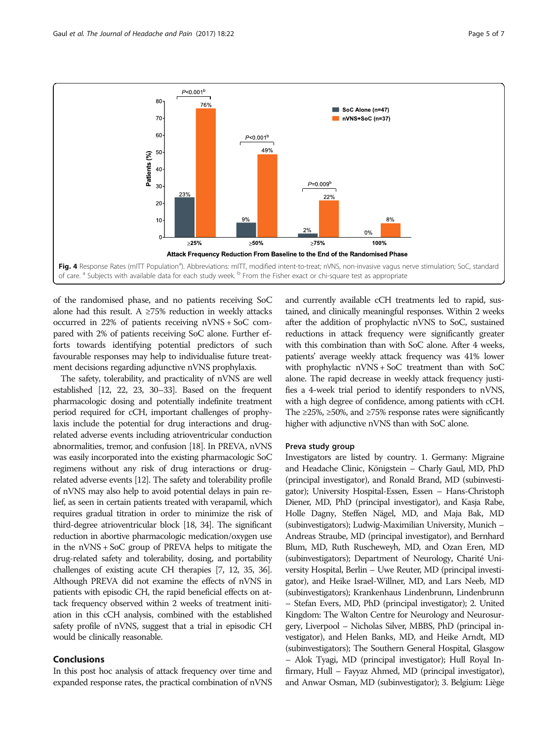<span id="page-4-0"></span>

of the randomised phase, and no patients receiving SoC alone had this result. A  $\geq$ 75% reduction in weekly attacks occurred in 22% of patients receiving nVNS + SoC compared with 2% of patients receiving SoC alone. Further efforts towards identifying potential predictors of such favourable responses may help to individualise future treatment decisions regarding adjunctive nVNS prophylaxis.

The safety, tolerability, and practicality of nVNS are well established [[12,](#page-5-0) [22](#page-6-0), [23, 30](#page-6-0)–[33\]](#page-6-0). Based on the frequent pharmacologic dosing and potentially indefinite treatment period required for cCH, important challenges of prophylaxis include the potential for drug interactions and drugrelated adverse events including atrioventricular conduction abnormalities, tremor, and confusion [\[18](#page-6-0)]. In PREVA, nVNS was easily incorporated into the existing pharmacologic SoC regimens without any risk of drug interactions or drugrelated adverse events [[12\]](#page-5-0). The safety and tolerability profile of nVNS may also help to avoid potential delays in pain relief, as seen in certain patients treated with verapamil, which requires gradual titration in order to minimize the risk of third-degree atrioventricular block [[18, 34](#page-6-0)]. The significant reduction in abortive pharmacologic medication/oxygen use in the nVNS + SoC group of PREVA helps to mitigate the drug-related safety and tolerability, dosing, and portability challenges of existing acute CH therapies [\[7, 12,](#page-5-0) [35, 36](#page-6-0)]. Although PREVA did not examine the effects of nVNS in patients with episodic CH, the rapid beneficial effects on attack frequency observed within 2 weeks of treatment initiation in this cCH analysis, combined with the established safety profile of nVNS, suggest that a trial in episodic CH would be clinically reasonable.

## Conclusions

In this post hoc analysis of attack frequency over time and expanded response rates, the practical combination of nVNS

and currently available cCH treatments led to rapid, sustained, and clinically meaningful responses. Within 2 weeks after the addition of prophylactic nVNS to SoC, sustained reductions in attack frequency were significantly greater with this combination than with SoC alone. After 4 weeks, patients' average weekly attack frequency was 41% lower with prophylactic nVNS + SoC treatment than with SoC alone. The rapid decrease in weekly attack frequency justifies a 4-week trial period to identify responders to nVNS, with a high degree of confidence, among patients with cCH. The  $\geq$ 25%,  $\geq$ 50%, and  $\geq$ 75% response rates were significantly higher with adjunctive nVNS than with SoC alone.

#### Preva study group

Investigators are listed by country. 1. Germany: Migraine and Headache Clinic, Königstein – Charly Gaul, MD, PhD (principal investigator), and Ronald Brand, MD (subinvestigator); University Hospital-Essen, Essen – Hans-Christoph Diener, MD, PhD (principal investigator), and Kasja Rabe, Holle Dagny, Steffen Nägel, MD, and Maja Bak, MD (subinvestigators); Ludwig-Maximilian University, Munich – Andreas Straube, MD (principal investigator), and Bernhard Blum, MD, Ruth Ruscheweyh, MD, and Ozan Eren, MD (subinvestigators); Department of Neurology, Charité University Hospital, Berlin – Uwe Reuter, MD (principal investigator), and Heike Israel-Willner, MD, and Lars Neeb, MD (subinvestigators); Krankenhaus Lindenbrunn, Lindenbrunn – Stefan Evers, MD, PhD (principal investigator); 2. United Kingdom: The Walton Centre for Neurology and Neurosurgery, Liverpool – Nicholas Silver, MBBS, PhD (principal investigator), and Helen Banks, MD, and Heike Arndt, MD (subinvestigators); The Southern General Hospital, Glasgow – Alok Tyagi, MD (principal investigator); Hull Royal Infirmary, Hull – Fayyaz Ahmed, MD (principal investigator), and Anwar Osman, MD (subinvestigator); 3. Belgium: Liège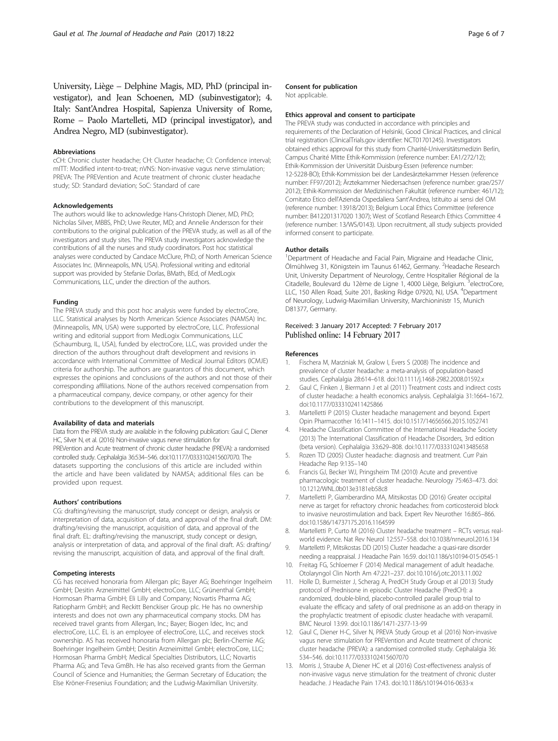<span id="page-5-0"></span>University, Liège – Delphine Magis, MD, PhD (principal investigator), and Jean Schoenen, MD (subinvestigator); 4. Italy: Sant'Andrea Hospital, Sapienza University of Rome, Rome – Paolo Martelleti, MD (principal investigator), and Andrea Negro, MD (subinvestigator).

#### Abbreviations

cCH: Chronic cluster headache; CH: Cluster headache; CI: Confidence interval; mITT: Modified intent-to-treat; nVNS: Non-invasive vagus nerve stimulation; PREVA: The PREVention and Acute treatment of chronic cluster headache study; SD: Standard deviation; SoC: Standard of care

#### Acknowledgements

The authors would like to acknowledge Hans-Christoph Diener, MD, PhD; Nicholas Silver, MBBS, PhD; Uwe Reuter, MD; and Annelie Andersson for their contributions to the original publication of the PREVA study, as well as all of the investigators and study sites. The PREVA study investigators acknowledge the contributions of all the nurses and study coordinators. Post hoc statistical analyses were conducted by Candace McClure, PhD, of North American Science Associates Inc. (Minneapolis, MN, USA). Professional writing and editorial support was provided by Stefanie Dorlas, BMath, BEd, of MedLogix Communications, LLC, under the direction of the authors.

### Funding

The PREVA study and this post hoc analysis were funded by electroCore, LLC. Statistical analyses by North American Science Associates (NAMSA) Inc. (Minneapolis, MN, USA) were supported by electroCore, LLC. Professional writing and editorial support from MedLogix Communications, LLC (Schaumburg, IL, USA), funded by electroCore, LLC, was provided under the direction of the authors throughout draft development and revisions in accordance with International Committee of Medical Journal Editors (ICMJE) criteria for authorship. The authors are guarantors of this document, which expresses the opinions and conclusions of the authors and not those of their corresponding affiliations. None of the authors received compensation from a pharmaceutical company, device company, or other agency for their contributions to the development of this manuscript.

#### Availability of data and materials

Data from the PREVA study are available in the following publication: Gaul C, Diener HC, Silver N, et al. (2016) Non-invasive vagus nerve stimulation for PREVention and Acute treatment of chronic cluster headache (PREVA): a randomised controlled study. Cephalalgia 36:534–546. doi[:10.1177/0333102415607070](http://dx.doi.org/10.1177/0333102415607070). The datasets supporting the conclusions of this article are included within the article and have been validated by NAMSA; additional files can be provided upon request.

#### Authors' contributions

CG: drafting/revising the manuscript, study concept or design, analysis or interpretation of data, acquisition of data, and approval of the final draft. DM: drafting/revising the manuscript, acquisition of data, and approval of the final draft. EL: drafting/revising the manuscript, study concept or design, analysis or interpretation of data, and approval of the final draft. AS: drafting/ revising the manuscript, acquisition of data, and approval of the final draft.

#### Competing interests

CG has received honoraria from Allergan plc; Bayer AG; Boehringer Ingelheim GmbH; Desitin Arzneimittel GmbH; electroCore, LLC; Grünenthal GmbH; Hormosan Pharma GmbH; Eli Lilly and Company; Novartis Pharma AG; Ratiopharm GmbH; and Reckitt Benckiser Group plc. He has no ownership interests and does not own any pharmaceutical company stocks. DM has received travel grants from Allergan, Inc.; Bayer; Biogen Idec, Inc; and electroCore, LLC. EL is an employee of electroCore, LLC, and receives stock ownership. AS has received honoraria from Allergan plc; Berlin-Chemie AG; Boehringer Ingelheim GmbH; Desitin Arzneimittel GmbH; electroCore, LLC; Hormosan Pharma GmbH; Medical Specialties Distributors, LLC; Novartis Pharma AG; and Teva GmBh. He has also received grants from the German Council of Science and Humanities; the German Secretary of Education; the Else Kröner-Fresenius Foundation; and the Ludwig-Maximilian University.

#### Consent for publication

Not applicable.

#### Ethics approval and consent to participate

The PREVA study was conducted in accordance with principles and requirements of the Declaration of Helsinki, Good Clinical Practices, and clinical trial registration (ClinicalTrials.gov identifier: NCT01701245). Investigators obtained ethics approval for this study from Charité-Universitätsmedizin Berlin, Campus Charité Mitte Ethik-Kommission (reference number: EA1/272/12); Ethik-Kommission der Universität Duisburg-Essen (reference number: 12-5228-BO); Ethik-Kommission bei der Landesärztekammer Hessen (reference number: FF97/2012); Ärztekammer Niedersachsen (reference number: grae/257/ 2012); Ethik-Kommission der Medizinischen Fakultät (reference number: 461/12); Comitato Etico dell'Azienda Ospedaliera Sant'Andrea, Istituito ai sensi del OM (reference number: 13918/2013); Belgium Local Ethics Committee (reference number: B412201317020 1307); West of Scotland Research Ethics Committee 4 (reference number: 13/WS/0143). Upon recruitment, all study subjects provided informed consent to participate.

## Author details

<sup>1</sup>Department of Headache and Facial Pain, Migraine and Headache Clinic, Ölmühlweg 31, Königstein im Taunus 61462, Germany. <sup>2</sup>Headache Research Unit, University Department of Neurology, Centre Hospitalier Régional de la Citadelle, Boulevard du 12ème de Ligne 1, 4000 Liège, Belgium.<sup>3</sup>electroCore, LLC, 150 Allen Road, Suite 201, Basking Ridge 07920, NJ, USA. <sup>4</sup>Department of Neurology, Ludwig-Maximilian University, Marchioninistr 15, Munich D81377, Germany.

## Received: 3 January 2017 Accepted: 7 February 2017 Published online: 14 February 2017

#### References

- 1. Fischera M, Marziniak M, Gralow I, Evers S (2008) The incidence and prevalence of cluster headache: a meta-analysis of population-based studies. Cephalalgia 28:614–618. doi:[10.1111/j.1468-2982.2008.01592.x](http://dx.doi.org/10.1111/j.1468-2982.2008.01592.x)
- 2. Gaul C, Finken J, Biermann J et al (2011) Treatment costs and indirect costs of cluster headache: a health economics analysis. Cephalalgia 31:1664–1672. doi[:10.1177/0333102411425866](http://dx.doi.org/10.1177/0333102411425866)
- 3. Martelletti P (2015) Cluster headache management and beyond. Expert Opin Pharmacother 16:1411–1415. doi[:10.1517/14656566.2015.1052741](http://dx.doi.org/10.1517/14656566.2015.1052741)
- 4. Headache Classification Committee of the International Headache Society (2013) The International Classification of Headache Disorders, 3rd edition (beta version). Cephalalgia 33:629–808. doi:[10.1177/0333102413485658](http://dx.doi.org/10.1177/0333102413485658)
- 5. Rozen TD (2005) Cluster headache: diagnosis and treatment. Curr Pain Headache Rep 9:135–140
- 6. Francis GJ, Becker WJ, Pringsheim TM (2010) Acute and preventive pharmacologic treatment of cluster headache. Neurology 75:463–473. doi: [10.1212/WNL.0b013e3181eb58c8](http://dx.doi.org/10.1212/WNL.0b013e3181eb58c8)
- 7. Martelletti P, Giamberardino MA, Mitsikostas DD (2016) Greater occipital nerve as target for refractory chronic headaches: from corticosteroid block to invasive neurostimulation and back. Expert Rev Neurother 16:865–866. doi[:10.1586/14737175.2016.1164599](http://dx.doi.org/10.1586/14737175.2016.1164599)
- 8. Martelletti P, Curto M (2016) Cluster headache treatment RCTs versus realworld evidence. Nat Rev Neurol 12:557–558. doi[:10.1038/nrneurol.2016.134](http://dx.doi.org/10.1038/nrneurol.2016.134)
- 9. Martelletti P, Mitsikostas DD (2015) Cluster headache: a quasi-rare disorder needing a reappraisal. J Headache Pain 16:59. doi[:10.1186/s10194-015-0545-1](http://dx.doi.org/10.1186/s10194-015-0545-1)
- 10. Freitag FG, Schloemer F (2014) Medical management of adult headache. Otolaryngol Clin North Am 47:221–237. doi[:10.1016/j.otc.2013.11.002](http://dx.doi.org/10.1016/j.otc.2013.11.002)
- 11. Holle D, Burmeister J, Scherag A, PredCH Study Group et al (2013) Study protocol of Prednisone in episodic Cluster Headache (PredCH): a randomized, double-blind, placebo-controlled parallel group trial to evaluate the efficacy and safety of oral prednisone as an add-on therapy in the prophylactic treatment of episodic cluster headache with verapamil. BMC Neurol 13:99. doi:[10.1186/1471-2377-13-99](http://dx.doi.org/10.1186/1471-2377-13-99)
- 12. Gaul C, Diener H-C, Silver N, PREVA Study Group et al (2016) Non-invasive vagus nerve stimulation for PREVention and Acute treatment of chronic cluster headache (PREVA): a randomised controlled study. Cephalalgia 36: 534–546. doi[:10.1177/0333102415607070](http://dx.doi.org/10.1177/0333102415607070)
- 13. Morris J, Straube A, Diener HC et al (2016) Cost-effectiveness analysis of non-invasive vagus nerve stimulation for the treatment of chronic cluster headache. J Headache Pain 17:43. doi:[10.1186/s10194-016-0633-x](http://dx.doi.org/10.1186/s10194-016-0633-x)